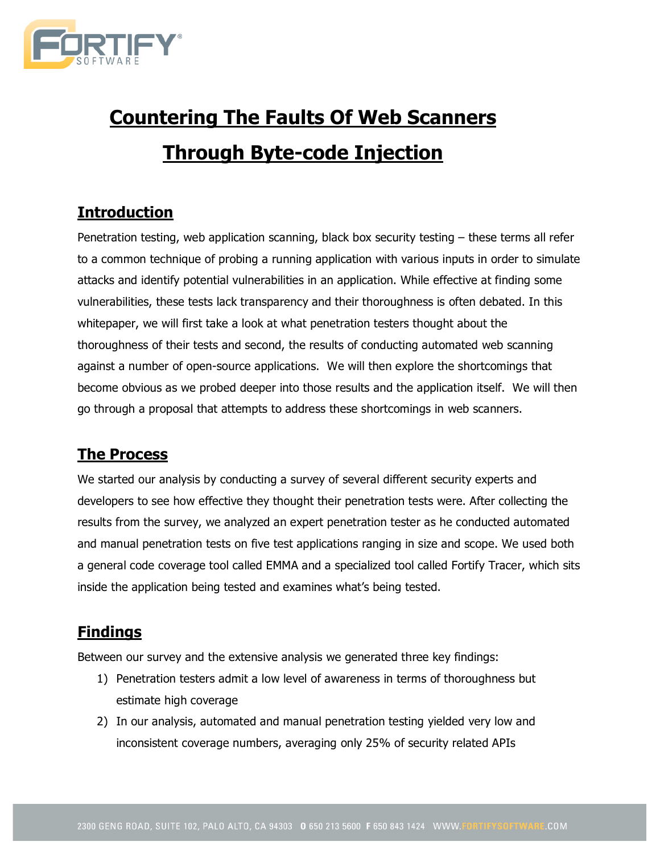

# **Countering The Faults Of Web Scanners Through Byte-code Injection**

# **Introduction**

Penetration testing, web application scanning, black box security testing – these terms all refer to a common technique of probing a running application with various inputs in order to simulate attacks and identify potential vulnerabilities in an application. While effective at finding some vulnerabilities, these tests lack transparency and their thoroughness is often debated. In this whitepaper, we will first take a look at what penetration testers thought about the thoroughness of their tests and second, the results of conducting automated web scanning against a number of open-source applications. We will then explore the shortcomings that become obvious as we probed deeper into those results and the application itself. We will then go through a proposal that attempts to address these shortcomings in web scanners.

### **The Process**

We started our analysis by conducting a survey of several different security experts and developers to see how effective they thought their penetration tests were. After collecting the results from the survey, we analyzed an expert penetration tester as he conducted automated and manual penetration tests on five test applications ranging in size and scope. We used both a general code coverage tool called EMMA and a specialized tool called Fortify Tracer, which sits inside the application being tested and examines what's being tested.

# **Findings**

Between our survey and the extensive analysis we generated three key findings:

- 1) Penetration testers admit a low level of awareness in terms of thoroughness but estimate high coverage
- 2) In our analysis, automated and manual penetration testing yielded very low and inconsistent coverage numbers, averaging only 25% of security related APIs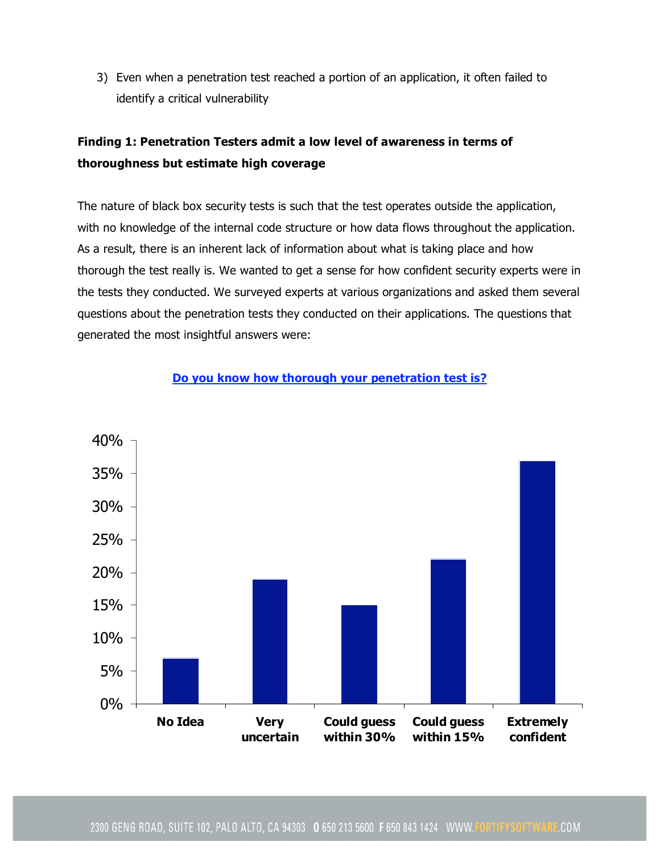3) Even when a penetration test reached a portion of an application, it often failed to identify a critical vulnerability

## **Finding 1: Penetration Testers admit a low level of awareness in terms of thoroughness but estimate high coverage**

The nature of black box security tests is such that the test operates outside the application, with no knowledge of the internal code structure or how data flows throughout the application. As a result, there is an inherent lack of information about what is taking place and how thorough the test really is. We wanted to get a sense for how confident security experts were in the tests they conducted. We surveyed experts at various organizations and asked them several questions about the penetration tests they conducted on their applications. The questions that generated the most insightful answers were:



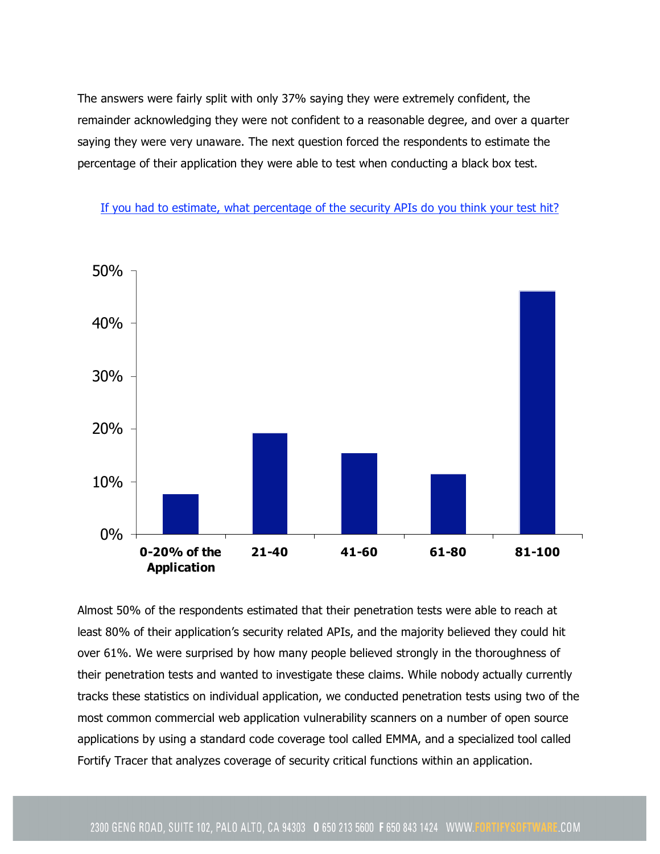The answers were fairly split with only 37% saying they were extremely confident, the remainder acknowledging they were not confident to a reasonable degree, and over a quarter saying they were very unaware. The next question forced the respondents to estimate the percentage of their application they were able to test when conducting a black box test.

If you had to estimate, what percentage of the security APIs do you think your test hit?



Almost 50% of the respondents estimated that their penetration tests were able to reach at least 80% of their application's security related APIs, and the majority believed they could hit over 61%. We were surprised by how many people believed strongly in the thoroughness of their penetration tests and wanted to investigate these claims. While nobody actually currently tracks these statistics on individual application, we conducted penetration tests using two of the most common commercial web application vulnerability scanners on a number of open source applications by using a standard code coverage tool called EMMA, and a specialized tool called Fortify Tracer that analyzes coverage of security critical functions within an application.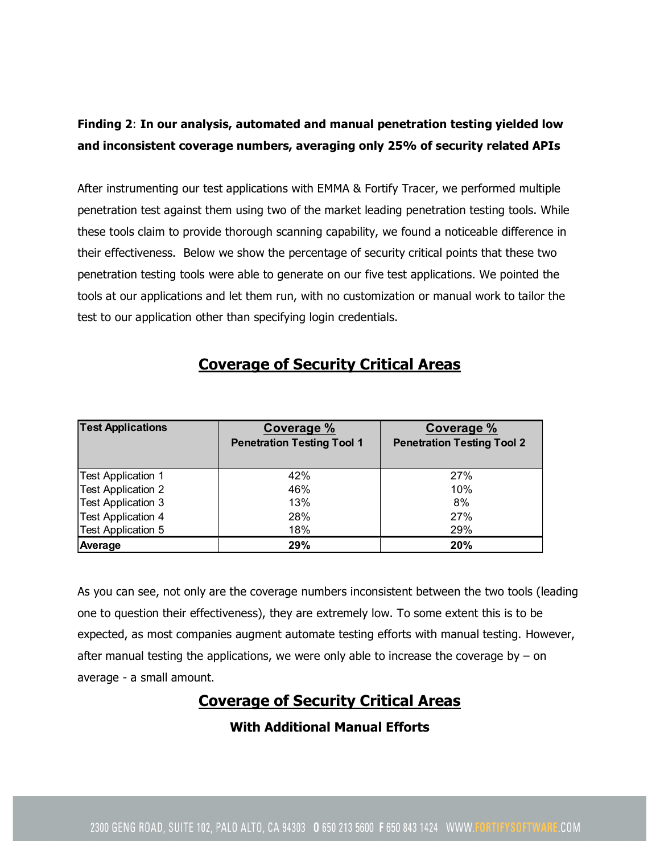### **Finding 2**: **In our analysis, automated and manual penetration testing yielded low and inconsistent coverage numbers, averaging only 25% of security related APIs**

After instrumenting our test applications with EMMA & Fortify Tracer, we performed multiple penetration test against them using two of the market leading penetration testing tools. While these tools claim to provide thorough scanning capability, we found a noticeable difference in their effectiveness. Below we show the percentage of security critical points that these two penetration testing tools were able to generate on our five test applications. We pointed the tools at our applications and let them run, with no customization or manual work to tailor the test to our application other than specifying login credentials.

| <b>Test Applications</b>  | Coverage %<br><b>Penetration Testing Tool 1</b> | Coverage %<br><b>Penetration Testing Tool 2</b> |
|---------------------------|-------------------------------------------------|-------------------------------------------------|
| Test Application 1        | 42%                                             | 27%                                             |
| <b>Test Application 2</b> | 46%                                             | 10%                                             |
| Test Application 3        | 13%                                             | 8%                                              |
| <b>Test Application 4</b> | 28%                                             | 27%                                             |
| Test Application 5        | 18%                                             | 29%                                             |
| Average                   | 29%                                             | 20%                                             |

# **Coverage of Security Critical Areas**

As you can see, not only are the coverage numbers inconsistent between the two tools (leading one to question their effectiveness), they are extremely low. To some extent this is to be expected, as most companies augment automate testing efforts with manual testing. However, after manual testing the applications, we were only able to increase the coverage by  $-$  on average - a small amount.

## **Coverage of Security Critical Areas**

**With Additional Manual Efforts**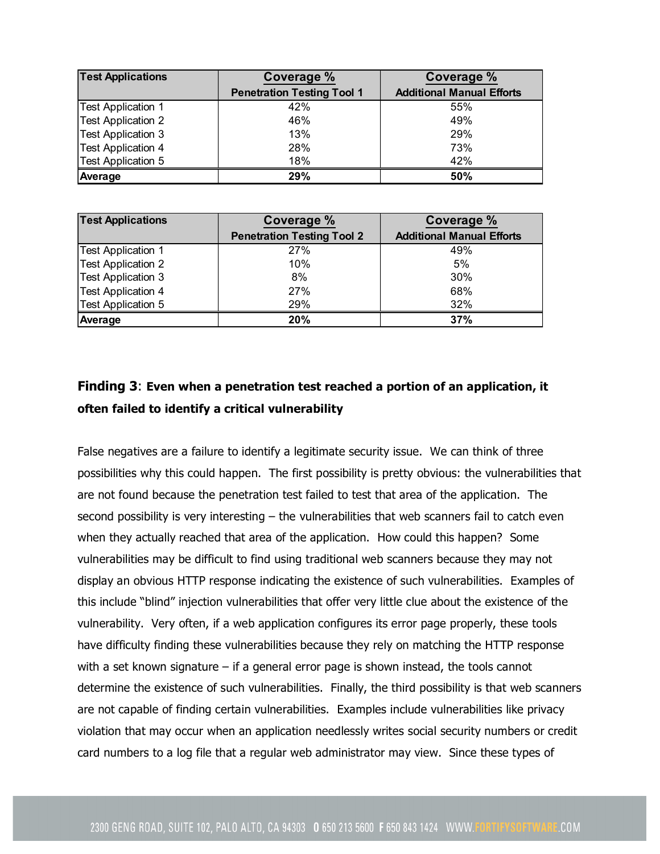| <b>Test Applications</b>  | Coverage %                        | Coverage %                       |
|---------------------------|-----------------------------------|----------------------------------|
|                           | <b>Penetration Testing Tool 1</b> | <b>Additional Manual Efforts</b> |
| Test Application 1        | 42%                               | 55%                              |
| <b>Test Application 2</b> | 46%                               | 49%                              |
| Test Application 3        | 13%                               | 29%                              |
| <b>Test Application 4</b> | 28%                               | 73%                              |
| Test Application 5        | 18%                               | 42%                              |
| Average                   | 29%                               | 50%                              |

| <b>Test Applications</b>  | Coverage %                        | <b>Coverage %</b>                |
|---------------------------|-----------------------------------|----------------------------------|
|                           | <b>Penetration Testing Tool 2</b> | <b>Additional Manual Efforts</b> |
| <b>Test Application 1</b> | 27%                               | 49%                              |
| <b>Test Application 2</b> | 10%                               | 5%                               |
| <b>Test Application 3</b> | 8%                                | 30%                              |
| <b>Test Application 4</b> | 27%                               | 68%                              |
| <b>Test Application 5</b> | 29%                               | 32%                              |
| Average                   | 20%                               | 37%                              |

### **Finding 3**: **Even when a penetration test reached a portion of an application, it often failed to identify a critical vulnerability**

False negatives are a failure to identify a legitimate security issue. We can think of three possibilities why this could happen. The first possibility is pretty obvious: the vulnerabilities that are not found because the penetration test failed to test that area of the application. The second possibility is very interesting – the vulnerabilities that web scanners fail to catch even when they actually reached that area of the application. How could this happen? Some vulnerabilities may be difficult to find using traditional web scanners because they may not display an obvious HTTP response indicating the existence of such vulnerabilities. Examples of this include "blind" injection vulnerabilities that offer very little clue about the existence of the vulnerability. Very often, if a web application configures its error page properly, these tools have difficulty finding these vulnerabilities because they rely on matching the HTTP response with a set known signature  $-$  if a general error page is shown instead, the tools cannot determine the existence of such vulnerabilities. Finally, the third possibility is that web scanners are not capable of finding certain vulnerabilities. Examples include vulnerabilities like privacy violation that may occur when an application needlessly writes social security numbers or credit card numbers to a log file that a regular web administrator may view. Since these types of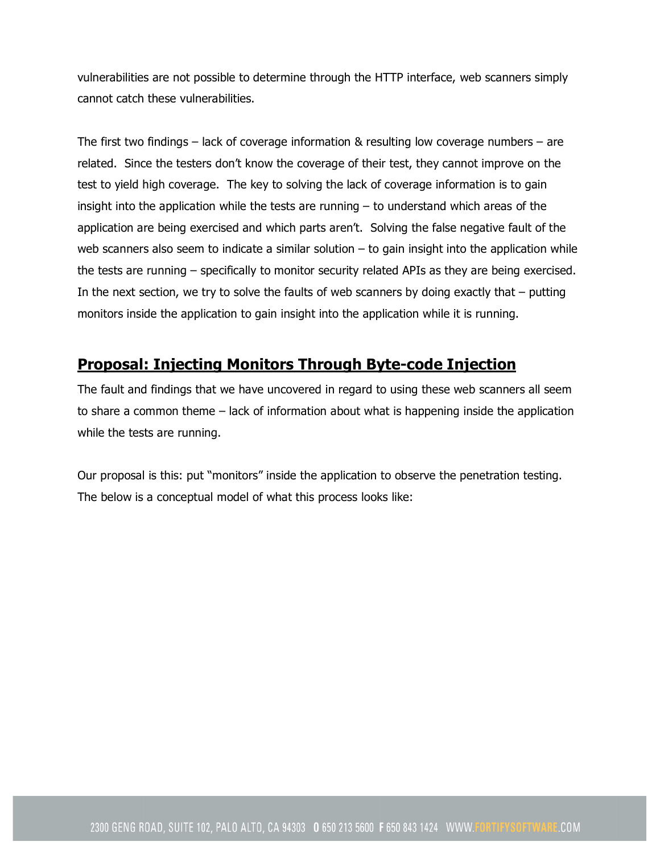vulnerabilities are not possible to determine through the HTTP interface, web scanners simply cannot catch these vulnerabilities.

The first two findings – lack of coverage information & resulting low coverage numbers – are related. Since the testers don't know the coverage of their test, they cannot improve on the test to yield high coverage. The key to solving the lack of coverage information is to gain insight into the application while the tests are running – to understand which areas of the application are being exercised and which parts aren't. Solving the false negative fault of the web scanners also seem to indicate a similar solution  $-$  to gain insight into the application while the tests are running – specifically to monitor security related APIs as they are being exercised. In the next section, we try to solve the faults of web scanners by doing exactly that  $-$  putting monitors inside the application to gain insight into the application while it is running.

## **Proposal: Injecting Monitors Through Byte-code Injection**

The fault and findings that we have uncovered in regard to using these web scanners all seem to share a common theme – lack of information about what is happening inside the application while the tests are running.

Our proposal is this: put "monitors" inside the application to observe the penetration testing. The below is a conceptual model of what this process looks like: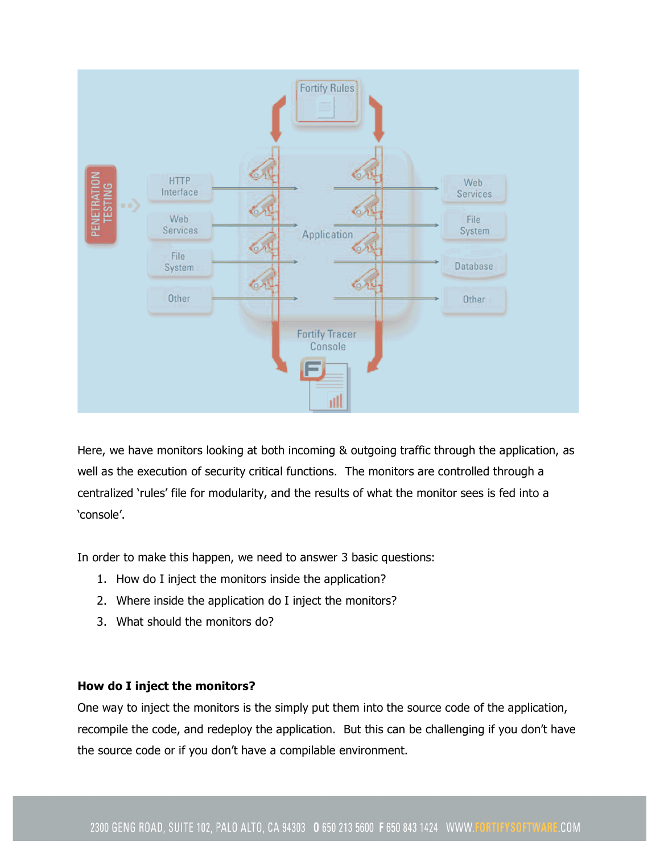

Here, we have monitors looking at both incoming & outgoing traffic through the application, as well as the execution of security critical functions. The monitors are controlled through a centralized 'rules' file for modularity, and the results of what the monitor sees is fed into a 'console'.

In order to make this happen, we need to answer 3 basic questions:

- 1. How do I inject the monitors inside the application?
- 2. Where inside the application do I inject the monitors?
- 3. What should the monitors do?

#### **How do I inject the monitors?**

One way to inject the monitors is the simply put them into the source code of the application, recompile the code, and redeploy the application. But this can be challenging if you don't have the source code or if you don't have a compilable environment.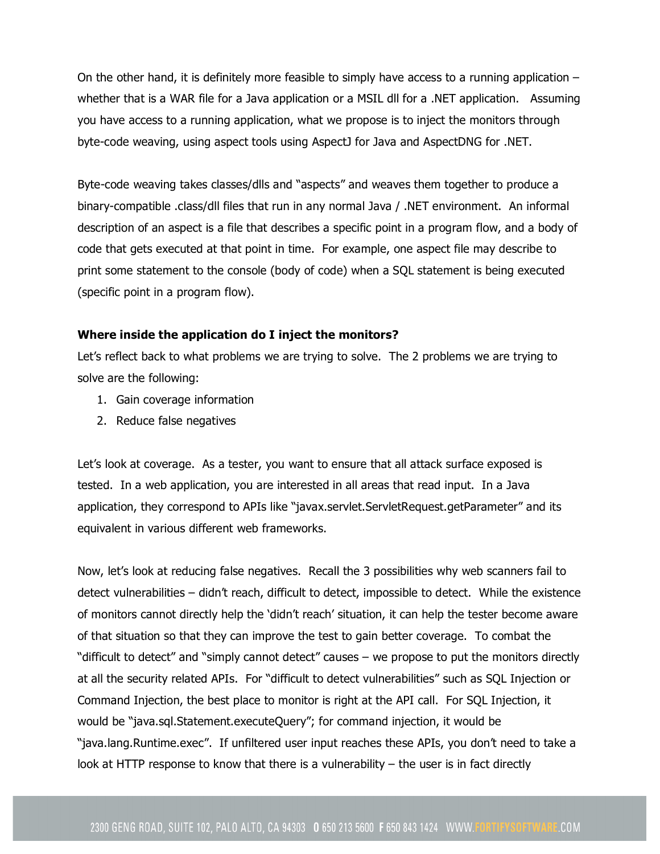On the other hand, it is definitely more feasible to simply have access to a running application – whether that is a WAR file for a Java application or a MSIL dll for a .NET application. Assuming you have access to a running application, what we propose is to inject the monitors through byte-code weaving, using aspect tools using AspectJ for Java and AspectDNG for .NET.

Byte-code weaving takes classes/dlls and "aspects" and weaves them together to produce a binary-compatible .class/dll files that run in any normal Java / .NET environment. An informal description of an aspect is a file that describes a specific point in a program flow, and a body of code that gets executed at that point in time. For example, one aspect file may describe to print some statement to the console (body of code) when a SQL statement is being executed (specific point in a program flow).

#### **Where inside the application do I inject the monitors?**

Let's reflect back to what problems we are trying to solve. The 2 problems we are trying to solve are the following:

- 1. Gain coverage information
- 2. Reduce false negatives

Let's look at coverage. As a tester, you want to ensure that all attack surface exposed is tested. In a web application, you are interested in all areas that read input. In a Java application, they correspond to APIs like "javax.servlet.ServletRequest.getParameter" and its equivalent in various different web frameworks.

Now, let's look at reducing false negatives. Recall the 3 possibilities why web scanners fail to detect vulnerabilities – didn't reach, difficult to detect, impossible to detect. While the existence of monitors cannot directly help the 'didn't reach' situation, it can help the tester become aware of that situation so that they can improve the test to gain better coverage. To combat the "difficult to detect" and "simply cannot detect" causes – we propose to put the monitors directly at all the security related APIs. For "difficult to detect vulnerabilities" such as SQL Injection or Command Injection, the best place to monitor is right at the API call. For SQL Injection, it would be "java.sql.Statement.executeQuery"; for command injection, it would be "java.lang.Runtime.exec". If unfiltered user input reaches these APIs, you don't need to take a look at HTTP response to know that there is a vulnerability – the user is in fact directly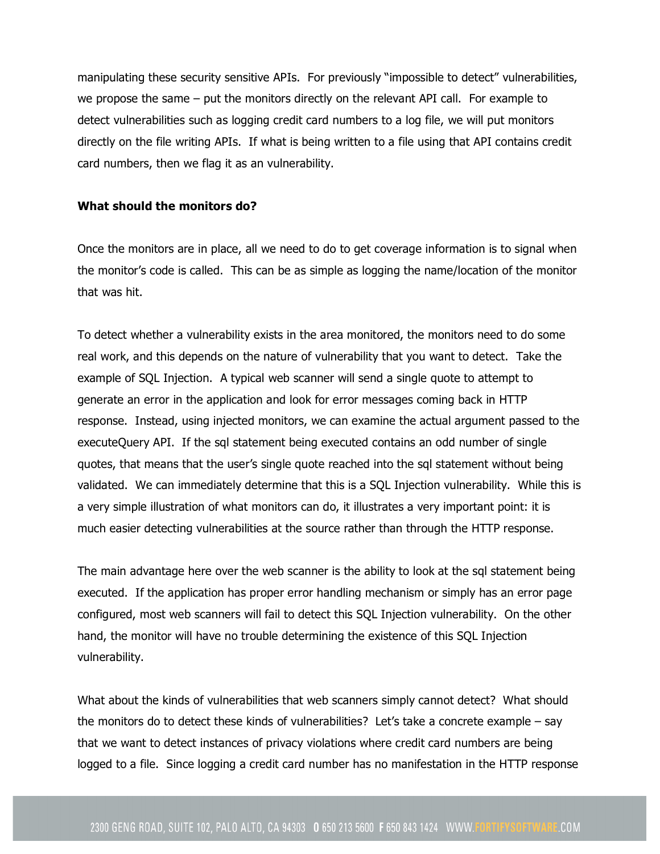manipulating these security sensitive APIs. For previously "impossible to detect" vulnerabilities, we propose the same – put the monitors directly on the relevant API call. For example to detect vulnerabilities such as logging credit card numbers to a log file, we will put monitors directly on the file writing APIs. If what is being written to a file using that API contains credit card numbers, then we flag it as an vulnerability.

#### **What should the monitors do?**

Once the monitors are in place, all we need to do to get coverage information is to signal when the monitor's code is called. This can be as simple as logging the name/location of the monitor that was hit.

To detect whether a vulnerability exists in the area monitored, the monitors need to do some real work, and this depends on the nature of vulnerability that you want to detect. Take the example of SQL Injection. A typical web scanner will send a single quote to attempt to generate an error in the application and look for error messages coming back in HTTP response. Instead, using injected monitors, we can examine the actual argument passed to the executeQuery API. If the sql statement being executed contains an odd number of single quotes, that means that the user's single quote reached into the sql statement without being validated. We can immediately determine that this is a SQL Injection vulnerability. While this is a very simple illustration of what monitors can do, it illustrates a very important point: it is much easier detecting vulnerabilities at the source rather than through the HTTP response.

The main advantage here over the web scanner is the ability to look at the sql statement being executed. If the application has proper error handling mechanism or simply has an error page configured, most web scanners will fail to detect this SQL Injection vulnerability. On the other hand, the monitor will have no trouble determining the existence of this SQL Injection vulnerability.

What about the kinds of vulnerabilities that web scanners simply cannot detect? What should the monitors do to detect these kinds of vulnerabilities? Let's take a concrete example – say that we want to detect instances of privacy violations where credit card numbers are being logged to a file. Since logging a credit card number has no manifestation in the HTTP response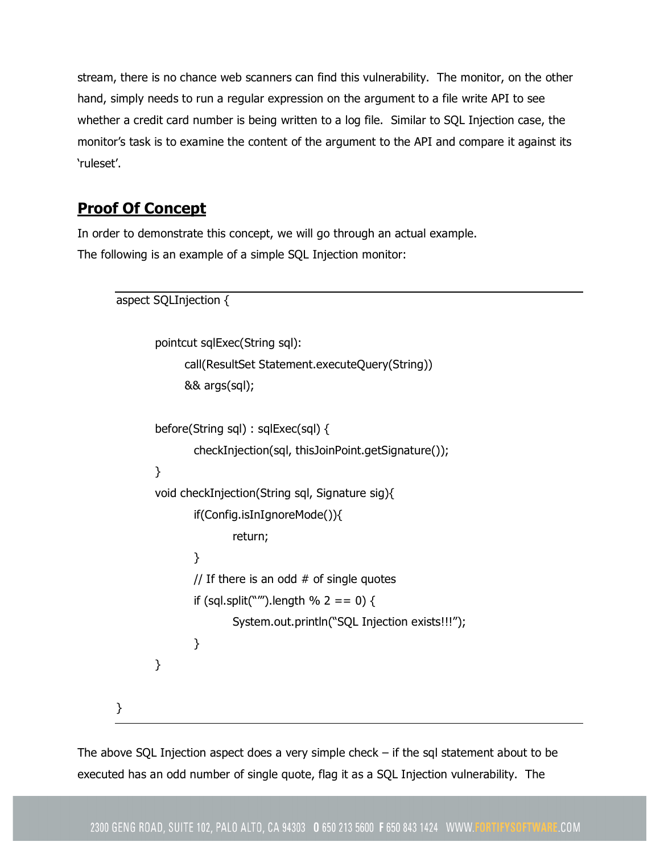stream, there is no chance web scanners can find this vulnerability. The monitor, on the other hand, simply needs to run a regular expression on the argument to a file write API to see whether a credit card number is being written to a log file. Similar to SQL Injection case, the monitor's task is to examine the content of the argument to the API and compare it against its 'ruleset'.

# **Proof Of Concept**

In order to demonstrate this concept, we will go through an actual example. The following is an example of a simple SQL Injection monitor:

```
aspect SQLInjection {
       pointcut sqlExec(String sql):
             call(ResultSet Statement.executeQuery(String))
             && args(sql);
       before(String sql) : sqlExec(sql) {
               checkInjection(sql, thisJoinPoint.getSignature());
       }
       void checkInjection(String sql, Signature sig){
               if(Config.isInIgnoreMode()){
                       return;
               }
               // If there is an odd # of single quotes
               if (sql.split("''').length % 2 == 0) {
                       System.out.println("SQL Injection exists!!!");
               }
       }
}
```
The above SQL Injection aspect does a very simple check – if the sql statement about to be executed has an odd number of single quote, flag it as a SQL Injection vulnerability. The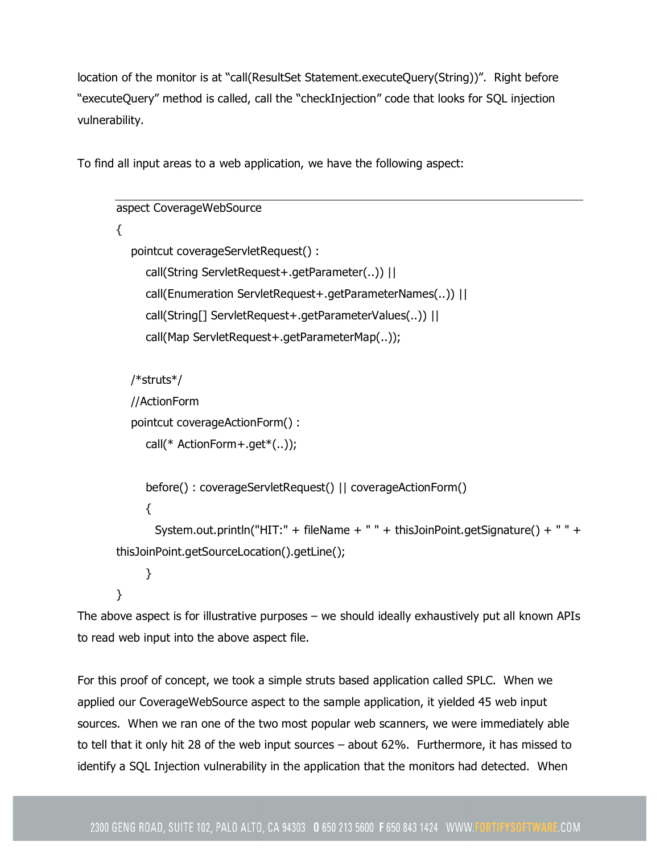location of the monitor is at "call(ResultSet Statement.executeQuery(String))". Right before "executeQuery" method is called, call the "checkInjection" code that looks for SQL injection vulnerability.

To find all input areas to a web application, we have the following aspect:

```
aspect CoverageWebSource
{
  pointcut coverageServletRequest() :
     call(String ServletRequest+.getParameter(..)) ||
     call(Enumeration ServletRequest+.getParameterNames(..)) ||
     call(String[] ServletRequest+.getParameterValues(..)) ||
     call(Map ServletRequest+.getParameterMap(..));
  /*struts*/
  //ActionForm
  pointcut coverageActionForm() :
     call(* ActionForm+.get*(..));
     before() : coverageServletRequest() || coverageActionForm()
     {
       System.out.println("HIT:" + fileName + " " + thisJoinPoint.getSignature() + " " +
thisJoinPoint.getSourceLocation().getLine();
     }
}
```
The above aspect is for illustrative purposes – we should ideally exhaustively put all known APIs to read web input into the above aspect file.

For this proof of concept, we took a simple struts based application called SPLC. When we applied our CoverageWebSource aspect to the sample application, it yielded 45 web input sources. When we ran one of the two most popular web scanners, we were immediately able to tell that it only hit 28 of the web input sources – about 62%. Furthermore, it has missed to identify a SQL Injection vulnerability in the application that the monitors had detected. When